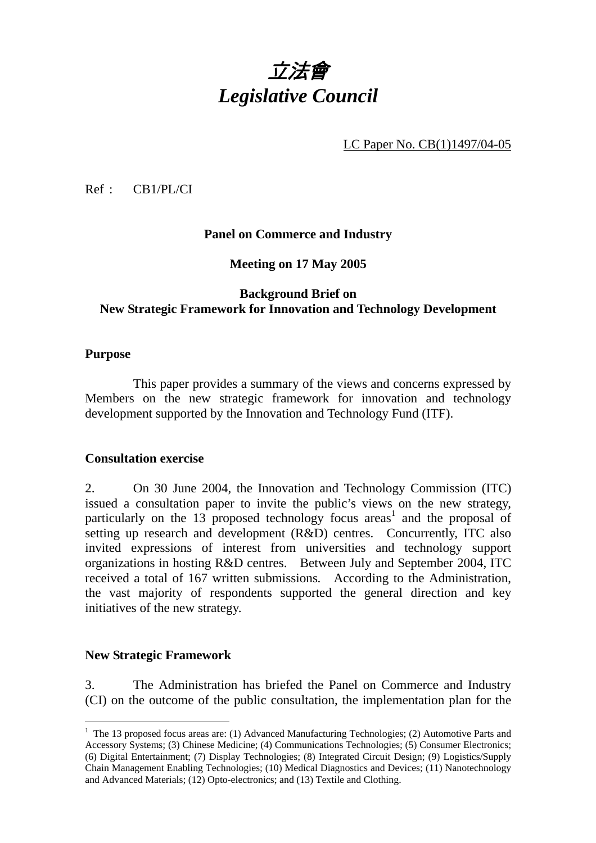# 立法會 *Legislative Council*

LC Paper No. CB(1)1497/04-05

Ref : CB1/PL/CI

## **Panel on Commerce and Industry**

**Meeting on 17 May 2005** 

## **Background Brief on New Strategic Framework for Innovation and Technology Development**

#### **Purpose**

This paper provides a summary of the views and concerns expressed by Members on the new strategic framework for innovation and technology development supported by the Innovation and Technology Fund (ITF).

#### **Consultation exercise**

2. On 30 June 2004, the Innovation and Technology Commission (ITC) issued a consultation paper to invite the public's views on the new strategy, particularly on the  $13$  proposed technology focus areas<sup>1</sup> and the proposal of setting up research and development (R&D) centres. Concurrently, ITC also invited expressions of interest from universities and technology support organizations in hosting R&D centres. Between July and September 2004, ITC received a total of 167 written submissions. According to the Administration, the vast majority of respondents supported the general direction and key initiatives of the new strategy.

#### **New Strategic Framework**

3. The Administration has briefed the Panel on Commerce and Industry (CI) on the outcome of the public consultation, the implementation plan for the

<sup>&</sup>lt;sup>1</sup> The 13 proposed focus areas are: (1) Advanced Manufacturing Technologies; (2) Automotive Parts and Accessory Systems; (3) Chinese Medicine; (4) Communications Technologies; (5) Consumer Electronics; (6) Digital Entertainment; (7) Display Technologies; (8) Integrated Circuit Design; (9) Logistics/Supply Chain Management Enabling Technologies; (10) Medical Diagnostics and Devices; (11) Nanotechnology and Advanced Materials; (12) Opto-electronics; and (13) Textile and Clothing.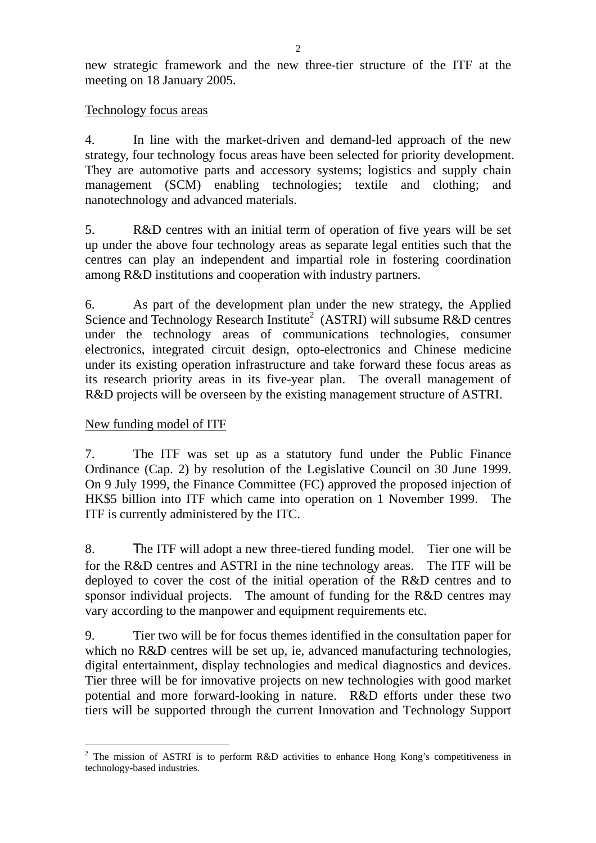new strategic framework and the new three-tier structure of the ITF at the meeting on 18 January 2005.

## Technology focus areas

4. In line with the market-driven and demand-led approach of the new strategy, four technology focus areas have been selected for priority development. They are automotive parts and accessory systems; logistics and supply chain management (SCM) enabling technologies; textile and clothing; and nanotechnology and advanced materials.

5. R&D centres with an initial term of operation of five years will be set up under the above four technology areas as separate legal entities such that the centres can play an independent and impartial role in fostering coordination among R&D institutions and cooperation with industry partners.

6. As part of the development plan under the new strategy, the Applied Science and Technology Research Institute<sup>2</sup> (ASTRI) will subsume R&D centres under the technology areas of communications technologies, consumer electronics, integrated circuit design, opto-electronics and Chinese medicine under its existing operation infrastructure and take forward these focus areas as its research priority areas in its five-year plan. The overall management of R&D projects will be overseen by the existing management structure of ASTRI.

## New funding model of ITF

7. The ITF was set up as a statutory fund under the Public Finance Ordinance (Cap. 2) by resolution of the Legislative Council on 30 June 1999. On 9 July 1999, the Finance Committee (FC) approved the proposed injection of HK\$5 billion into ITF which came into operation on 1 November 1999. The ITF is currently administered by the ITC.

8. The ITF will adopt a new three-tiered funding model. Tier one will be for the R&D centres and ASTRI in the nine technology areas. The ITF will be deployed to cover the cost of the initial operation of the R&D centres and to sponsor individual projects. The amount of funding for the R&D centres may vary according to the manpower and equipment requirements etc.

9. Tier two will be for focus themes identified in the consultation paper for which no R&D centres will be set up, ie, advanced manufacturing technologies, digital entertainment, display technologies and medical diagnostics and devices. Tier three will be for innovative projects on new technologies with good market potential and more forward-looking in nature. R&D efforts under these two tiers will be supported through the current Innovation and Technology Support

 $\overline{a}$ <sup>2</sup> The mission of ASTRI is to perform R&D activities to enhance Hong Kong's competitiveness in technology-based industries.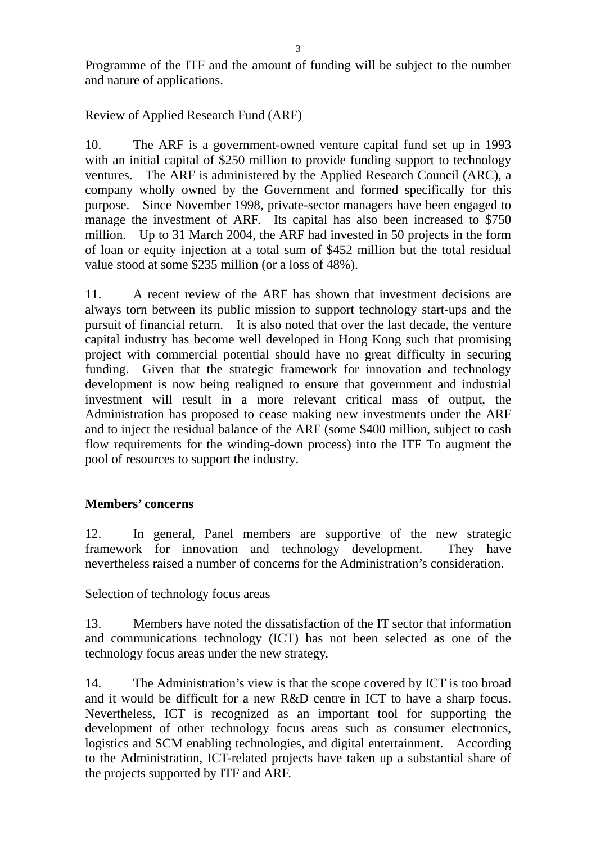Programme of the ITF and the amount of funding will be subject to the number and nature of applications.

## Review of Applied Research Fund (ARF)

10. The ARF is a government-owned venture capital fund set up in 1993 with an initial capital of \$250 million to provide funding support to technology ventures. The ARF is administered by the Applied Research Council (ARC), a company wholly owned by the Government and formed specifically for this purpose. Since November 1998, private-sector managers have been engaged to manage the investment of ARF. Its capital has also been increased to \$750 million. Up to 31 March 2004, the ARF had invested in 50 projects in the form of loan or equity injection at a total sum of \$452 million but the total residual value stood at some \$235 million (or a loss of 48%).

11. A recent review of the ARF has shown that investment decisions are always torn between its public mission to support technology start-ups and the pursuit of financial return. It is also noted that over the last decade, the venture capital industry has become well developed in Hong Kong such that promising project with commercial potential should have no great difficulty in securing funding. Given that the strategic framework for innovation and technology development is now being realigned to ensure that government and industrial investment will result in a more relevant critical mass of output, the Administration has proposed to cease making new investments under the ARF and to inject the residual balance of the ARF (some \$400 million, subject to cash flow requirements for the winding-down process) into the ITF To augment the pool of resources to support the industry.

## **Members' concerns**

12. In general, Panel members are supportive of the new strategic framework for innovation and technology development. They have nevertheless raised a number of concerns for the Administration's consideration.

## Selection of technology focus areas

13. Members have noted the dissatisfaction of the IT sector that information and communications technology (ICT) has not been selected as one of the technology focus areas under the new strategy.

14. The Administration's view is that the scope covered by ICT is too broad and it would be difficult for a new R&D centre in ICT to have a sharp focus. Nevertheless, ICT is recognized as an important tool for supporting the development of other technology focus areas such as consumer electronics, logistics and SCM enabling technologies, and digital entertainment. According to the Administration, ICT-related projects have taken up a substantial share of the projects supported by ITF and ARF.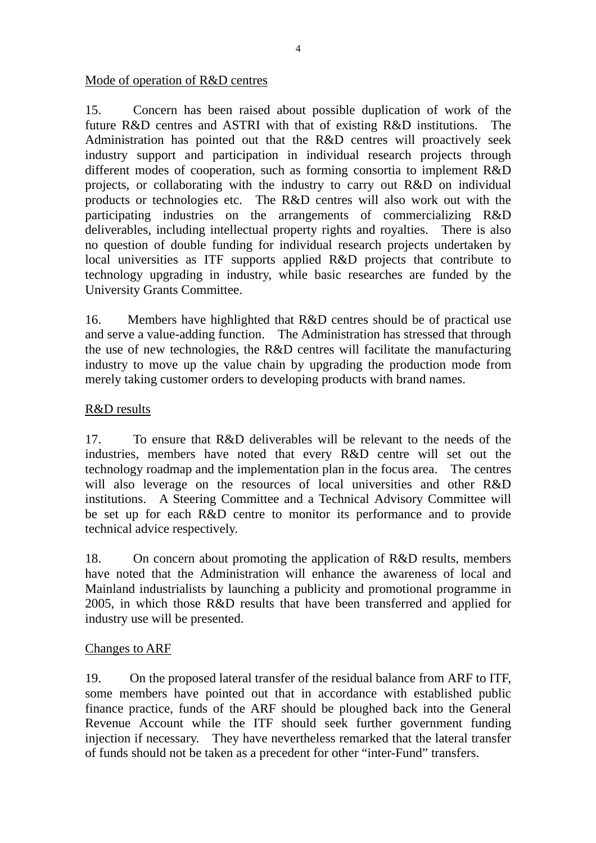#### Mode of operation of R&D centres

15. Concern has been raised about possible duplication of work of the future R&D centres and ASTRI with that of existing R&D institutions. The Administration has pointed out that the R&D centres will proactively seek industry support and participation in individual research projects through different modes of cooperation, such as forming consortia to implement R&D projects, or collaborating with the industry to carry out R&D on individual products or technologies etc. The R&D centres will also work out with the participating industries on the arrangements of commercializing R&D deliverables, including intellectual property rights and royalties. There is also no question of double funding for individual research projects undertaken by local universities as ITF supports applied R&D projects that contribute to technology upgrading in industry, while basic researches are funded by the University Grants Committee.

16. Members have highlighted that R&D centres should be of practical use and serve a value-adding function. The Administration has stressed that through the use of new technologies, the R&D centres will facilitate the manufacturing industry to move up the value chain by upgrading the production mode from merely taking customer orders to developing products with brand names.

## R&D results

17. To ensure that R&D deliverables will be relevant to the needs of the industries, members have noted that every R&D centre will set out the technology roadmap and the implementation plan in the focus area. The centres will also leverage on the resources of local universities and other R&D institutions. A Steering Committee and a Technical Advisory Committee will be set up for each R&D centre to monitor its performance and to provide technical advice respectively.

18. On concern about promoting the application of R&D results, members have noted that the Administration will enhance the awareness of local and Mainland industrialists by launching a publicity and promotional programme in 2005, in which those R&D results that have been transferred and applied for industry use will be presented.

## Changes to ARF

19. On the proposed lateral transfer of the residual balance from ARF to ITF, some members have pointed out that in accordance with established public finance practice, funds of the ARF should be ploughed back into the General Revenue Account while the ITF should seek further government funding injection if necessary. They have nevertheless remarked that the lateral transfer of funds should not be taken as a precedent for other "inter-Fund" transfers.